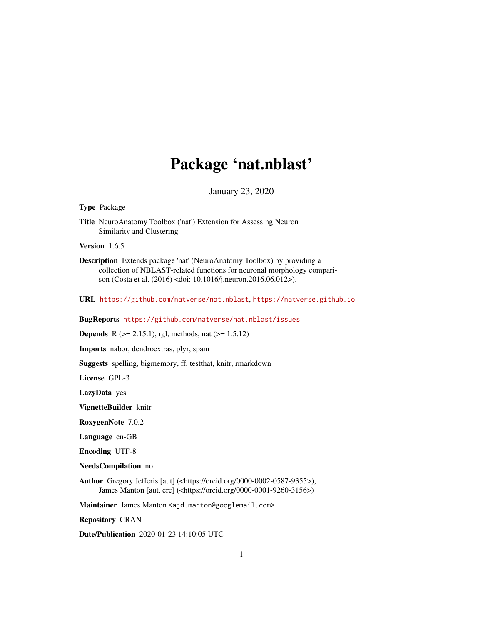# Package 'nat.nblast'

January 23, 2020

#### <span id="page-0-0"></span>Type Package

Title NeuroAnatomy Toolbox ('nat') Extension for Assessing Neuron Similarity and Clustering

Version 1.6.5

Description Extends package 'nat' (NeuroAnatomy Toolbox) by providing a collection of NBLAST-related functions for neuronal morphology comparison (Costa et al. (2016) <doi: 10.1016/j.neuron.2016.06.012>).

URL <https://github.com/natverse/nat.nblast>, <https://natverse.github.io>

BugReports <https://github.com/natverse/nat.nblast/issues>

**Depends** R ( $>= 2.15.1$ ), rgl, methods, nat ( $>= 1.5.12$ )

Imports nabor, dendroextras, plyr, spam

Suggests spelling, bigmemory, ff, testthat, knitr, rmarkdown

License GPL-3

LazyData yes

VignetteBuilder knitr

RoxygenNote 7.0.2

Language en-GB

Encoding UTF-8

NeedsCompilation no

Author Gregory Jefferis [aut] (<https://orcid.org/0000-0002-0587-9355>), James Manton [aut, cre] (<https://orcid.org/0000-0001-9260-3156>)

Maintainer James Manton <ajd.manton@googlemail.com>

Repository CRAN

Date/Publication 2020-01-23 14:10:05 UTC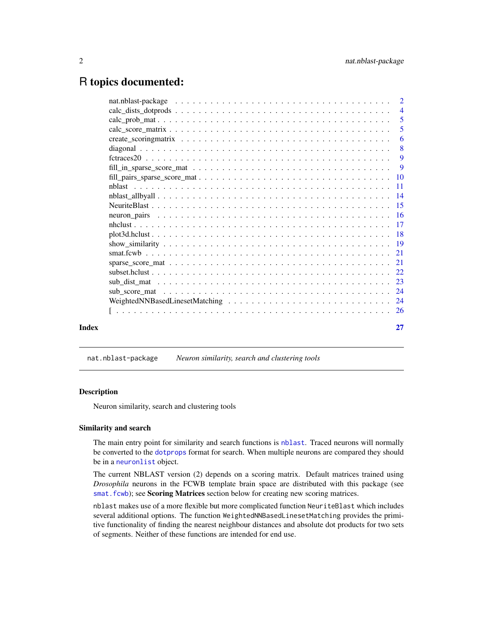# <span id="page-1-0"></span>R topics documented:

|       | -5                        |
|-------|---------------------------|
|       | $\overline{6}$            |
|       | $\overline{\phantom{0}}8$ |
|       |                           |
|       |                           |
|       |                           |
|       |                           |
|       |                           |
|       |                           |
|       |                           |
|       |                           |
|       |                           |
|       |                           |
|       |                           |
|       |                           |
|       |                           |
|       |                           |
|       |                           |
|       |                           |
|       |                           |
|       |                           |
| Index | 27                        |

nat.nblast-package *Neuron similarity, search and clustering tools*

#### Description

Neuron similarity, search and clustering tools

#### Similarity and search

The main entry point for similarity and search functions is [nblast](#page-10-1). Traced neurons will normally be converted to the [dotprops](#page-0-0) format for search. When multiple neurons are compared they should be in a [neuronlist](#page-0-0) object.

The current NBLAST version (2) depends on a scoring matrix. Default matrices trained using *Drosophila* neurons in the FCWB template brain space are distributed with this package (see smat. fcwb); see Scoring Matrices section below for creating new scoring matrices.

nblast makes use of a more flexible but more complicated function NeuriteBlast which includes several additional options. The function WeightedNNBasedLinesetMatching provides the primitive functionality of finding the nearest neighbour distances and absolute dot products for two sets of segments. Neither of these functions are intended for end use.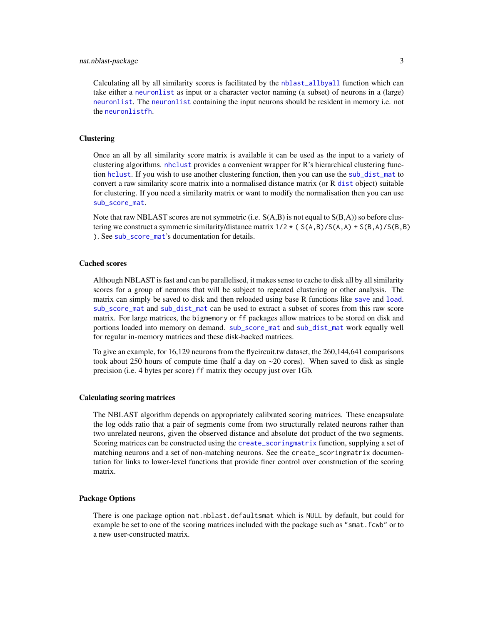### <span id="page-2-0"></span>nat.nblast-package 3

Calculating all by all similarity scores is facilitated by the [nblast\\_allbyall](#page-13-1) function which can take either a [neuronlist](#page-0-0) as input or a character vector naming (a subset) of neurons in a (large) [neuronlist](#page-0-0). The [neuronlist](#page-0-0) containing the input neurons should be resident in memory i.e. not the [neuronlistfh](#page-0-0).

# **Clustering**

Once an all by all similarity score matrix is available it can be used as the input to a variety of clustering algorithms. [nhclust](#page-16-1) provides a convenient wrapper for R's hierarchical clustering function [hclust](#page-0-0). If you wish to use another clustering function, then you can use the [sub\\_dist\\_mat](#page-22-1) to convert a raw similarity score matrix into a normalised distance matrix (or R [dist](#page-0-0) object) suitable for clustering. If you need a similarity matrix or want to modify the normalisation then you can use [sub\\_score\\_mat](#page-23-1).

Note that raw NBLAST scores are not symmetric (i.e.  $S(A,B)$  is not equal to  $S(B,A)$ ) so before clustering we construct a symmetric similarity/distance matrix  $1/2 \star (S(A,B)/S(A,A) + S(B,A)/S(B,B))$ ). See [sub\\_score\\_mat](#page-23-1)'s documentation for details.

# Cached scores

Although NBLAST is fast and can be parallelised, it makes sense to cache to disk all by all similarity scores for a group of neurons that will be subject to repeated clustering or other analysis. The matrix can simply be saved to disk and then reloaded using base R functions like [save](#page-0-0) and [load](#page-0-0). [sub\\_score\\_mat](#page-23-1) and [sub\\_dist\\_mat](#page-22-1) can be used to extract a subset of scores from this raw score matrix. For large matrices, the bigmemory or ff packages allow matrices to be stored on disk and portions loaded into memory on demand. [sub\\_score\\_mat](#page-23-1) and [sub\\_dist\\_mat](#page-22-1) work equally well for regular in-memory matrices and these disk-backed matrices.

To give an example, for 16,129 neurons from the flycircuit.tw dataset, the 260,144,641 comparisons took about 250 hours of compute time (half a day on  $\sim$  20 cores). When saved to disk as single precision (i.e. 4 bytes per score) ff matrix they occupy just over 1Gb.

# Calculating scoring matrices

The NBLAST algorithm depends on appropriately calibrated scoring matrices. These encapsulate the log odds ratio that a pair of segments come from two structurally related neurons rather than two unrelated neurons, given the observed distance and absolute dot product of the two segments. Scoring matrices can be constructed using the [create\\_scoringmatrix](#page-5-1) function, supplying a set of matching neurons and a set of non-matching neurons. See the create\_scoringmatrix documentation for links to lower-level functions that provide finer control over construction of the scoring matrix.

#### Package Options

There is one package option nat.nblast.defaultsmat which is NULL by default, but could for example be set to one of the scoring matrices included with the package such as "smat.fcwb" or to a new user-constructed matrix.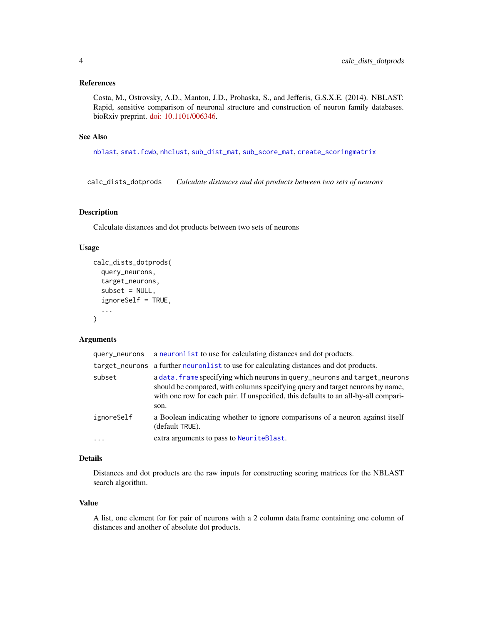#### <span id="page-3-0"></span>References

Costa, M., Ostrovsky, A.D., Manton, J.D., Prohaska, S., and Jefferis, G.S.X.E. (2014). NBLAST: Rapid, sensitive comparison of neuronal structure and construction of neuron family databases. bioRxiv preprint. [doi: 10.1101/006346.](http://dx.doi.org/10.1101/006346)

#### See Also

[nblast](#page-10-1), [smat.fcwb](#page-20-1), [nhclust](#page-16-1), [sub\\_dist\\_mat](#page-22-1), [sub\\_score\\_mat](#page-23-1), [create\\_scoringmatrix](#page-5-1)

<span id="page-3-1"></span>calc\_dists\_dotprods *Calculate distances and dot products between two sets of neurons*

# Description

Calculate distances and dot products between two sets of neurons

# Usage

```
calc_dists_dotprods(
  query_neurons,
  target_neurons,
  subset = NULL,
  ignoreSelf = TRUE,
  ...
)
```
# Arguments

| query_neurons | a neuronlist to use for calculating distances and dot products.                                                                                                                                                                                            |
|---------------|------------------------------------------------------------------------------------------------------------------------------------------------------------------------------------------------------------------------------------------------------------|
|               | target_neurons a further neuronlist to use for calculating distances and dot products.                                                                                                                                                                     |
| subset        | a data. frame specifying which neurons in query_neurons and target_neurons<br>should be compared, with columns specifying query and target neurons by name,<br>with one row for each pair. If unspecified, this defaults to an all-by-all compari-<br>son. |
| ignoreSelf    | a Boolean indicating whether to ignore comparisons of a neuron against itself<br>(default TRUE).                                                                                                                                                           |
| $\cdot$       | extra arguments to pass to NeuriteBlast.                                                                                                                                                                                                                   |

# Details

Distances and dot products are the raw inputs for constructing scoring matrices for the NBLAST search algorithm.

# Value

A list, one element for for pair of neurons with a 2 column data.frame containing one column of distances and another of absolute dot products.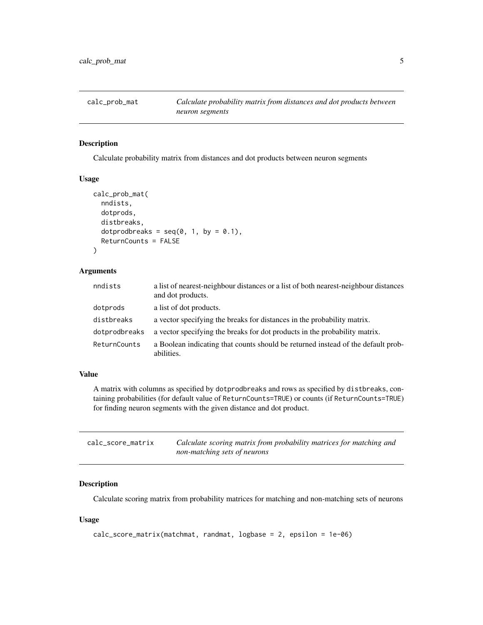<span id="page-4-2"></span><span id="page-4-0"></span>

# Description

Calculate probability matrix from distances and dot products between neuron segments

#### Usage

```
calc_prob_mat(
  nndists,
  dotprods,
  distbreaks,
  dotprodbreaks = seq(0, 1, by = 0.1),
  ReturnCounts = FALSE
)
```
# Arguments

| nndists       | a list of nearest-neighbour distances or a list of both nearest-neighbour distances<br>and dot products. |
|---------------|----------------------------------------------------------------------------------------------------------|
| dotprods      | a list of dot products.                                                                                  |
| distbreaks    | a vector specifying the breaks for distances in the probability matrix.                                  |
| dotprodbreaks | a vector specifying the breaks for dot products in the probability matrix.                               |
| ReturnCounts  | a Boolean indicating that counts should be returned instead of the default prob-<br>abilities.           |

### Value

A matrix with columns as specified by dotprodbreaks and rows as specified by distbreaks, containing probabilities (for default value of ReturnCounts=TRUE) or counts (if ReturnCounts=TRUE) for finding neuron segments with the given distance and dot product.

<span id="page-4-1"></span>

| calc_score_matrix | Calculate scoring matrix from probability matrices for matching and |
|-------------------|---------------------------------------------------------------------|
|                   | non-matching sets of neurons                                        |

# Description

Calculate scoring matrix from probability matrices for matching and non-matching sets of neurons

### Usage

```
calc_score_matrix(matchmat, randmat, logbase = 2, epsilon = 1e-06)
```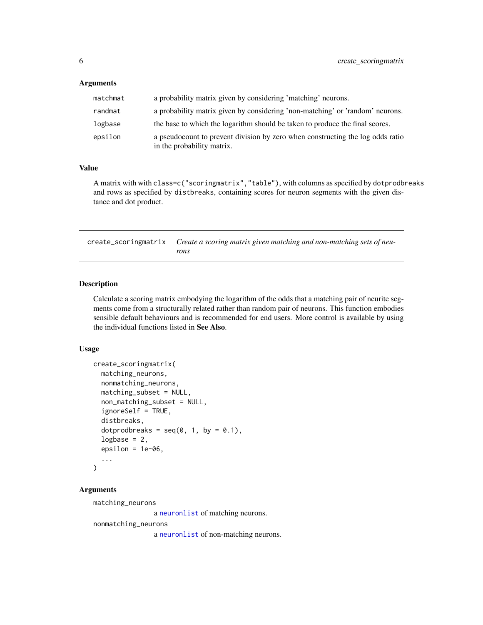# <span id="page-5-0"></span>Arguments

| matchmat | a probability matrix given by considering 'matching' neurons.                                                |
|----------|--------------------------------------------------------------------------------------------------------------|
| randmat  | a probability matrix given by considering 'non-matching' or 'random' neurons.                                |
| logbase  | the base to which the logarithm should be taken to produce the final scores.                                 |
| epsilon  | a pseudocount to prevent division by zero when constructing the log odds ratio<br>in the probability matrix. |

#### Value

A matrix with with class=c("scoringmatrix","table"), with columns as specified by dotprodbreaks and rows as specified by distbreaks, containing scores for neuron segments with the given distance and dot product.

<span id="page-5-1"></span>create\_scoringmatrix *Create a scoring matrix given matching and non-matching sets of neurons*

# Description

Calculate a scoring matrix embodying the logarithm of the odds that a matching pair of neurite segments come from a structurally related rather than random pair of neurons. This function embodies sensible default behaviours and is recommended for end users. More control is available by using the individual functions listed in See Also.

# Usage

```
create_scoringmatrix(
  matching_neurons,
  nonmatching_neurons,
  matching_subset = NULL,
  non_matching_subset = NULL,
  ignoreSelf = TRUE,
  distbreaks,
  dotprodbreaks = seq(0, 1, by = 0.1),
  logbase = 2,
  epsilon = 1e-06,
  ...
)
```
# Arguments

matching\_neurons

a [neuronlist](#page-0-0) of matching neurons.

nonmatching\_neurons

a [neuronlist](#page-0-0) of non-matching neurons.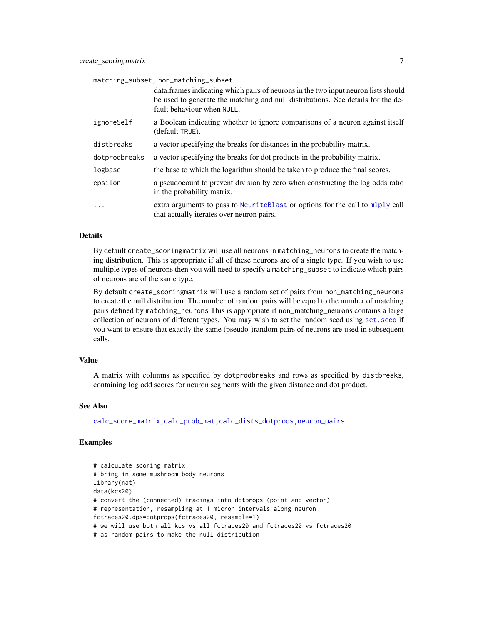<span id="page-6-0"></span>

| matching_subset, non_matching_subset |                                                                                                                            |  |
|--------------------------------------|----------------------------------------------------------------------------------------------------------------------------|--|
|                                      | data. frames indicating which pairs of neurons in the two input neuron lists should                                        |  |
|                                      | be used to generate the matching and null distributions. See details for the de-                                           |  |
|                                      | fault behaviour when NULL.                                                                                                 |  |
| ignoreSelf                           | a Boolean indicating whether to ignore comparisons of a neuron against itself<br>(default TRUE).                           |  |
| distbreaks                           | a vector specifying the breaks for distances in the probability matrix.                                                    |  |
| dotprodbreaks                        | a vector specifying the breaks for dot products in the probability matrix.                                                 |  |
| logbase                              | the base to which the logarithm should be taken to produce the final scores.                                               |  |
| epsilon                              | a pseudocount to prevent division by zero when constructing the log odds ratio<br>in the probability matrix.               |  |
| .                                    | extra arguments to pass to NeuriteBlast or options for the call to mlply call<br>that actually iterates over neuron pairs. |  |

#### Details

By default create\_scoringmatrix will use all neurons in matching\_neurons to create the matching distribution. This is appropriate if all of these neurons are of a single type. If you wish to use multiple types of neurons then you will need to specify a matching\_subset to indicate which pairs of neurons are of the same type.

By default create\_scoringmatrix will use a random set of pairs from non\_matching\_neurons to create the null distribution. The number of random pairs will be equal to the number of matching pairs defined by matching\_neurons This is appropriate if non\_matching\_neurons contains a large collection of neurons of different types. You may wish to set the random seed using [set.seed](#page-0-0) if you want to ensure that exactly the same (pseudo-)random pairs of neurons are used in subsequent calls.

#### Value

A matrix with columns as specified by dotprodbreaks and rows as specified by distbreaks, containing log odd scores for neuron segments with the given distance and dot product.

# See Also

[calc\\_score\\_matrix](#page-4-1)[,calc\\_prob\\_mat,](#page-4-2)[calc\\_dists\\_dotprods](#page-3-1)[,neuron\\_pairs](#page-15-1)

## Examples

```
# calculate scoring matrix
# bring in some mushroom body neurons
library(nat)
data(kcs20)
# convert the (connected) tracings into dotprops (point and vector)
# representation, resampling at 1 micron intervals along neuron
fctraces20.dps=dotprops(fctraces20, resample=1)
# we will use both all kcs vs all fctraces20 and fctraces20 vs fctraces20
# as random_pairs to make the null distribution
```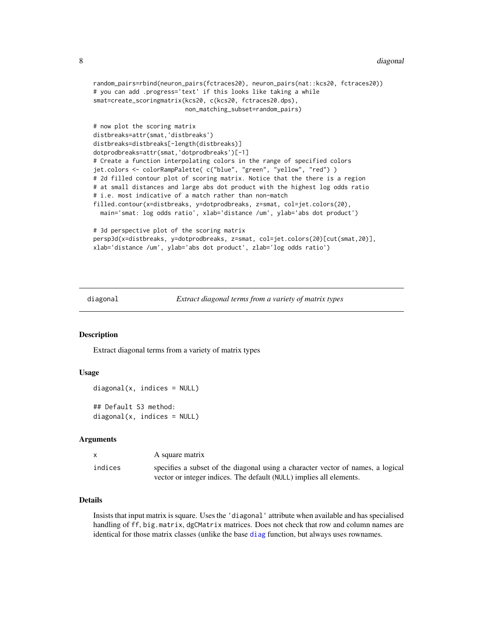```
random_pairs=rbind(neuron_pairs(fctraces20), neuron_pairs(nat::kcs20, fctraces20))
# you can add .progress='text' if this looks like taking a while
smat=create_scoringmatrix(kcs20, c(kcs20, fctraces20.dps),
                         non_matching_subset=random_pairs)
# now plot the scoring matrix
distbreaks=attr(smat,'distbreaks')
distbreaks=distbreaks[-length(distbreaks)]
dotprodbreaks=attr(smat,'dotprodbreaks')[-1]
# Create a function interpolating colors in the range of specified colors
jet.colors <- colorRampPalette( c("blue", "green", "yellow", "red") )
# 2d filled contour plot of scoring matrix. Notice that the there is a region
# at small distances and large abs dot product with the highest log odds ratio
# i.e. most indicative of a match rather than non-match
filled.contour(x=distbreaks, y=dotprodbreaks, z=smat, col=jet.colors(20),
 main='smat: log odds ratio', xlab='distance /um', ylab='abs dot product')
# 3d perspective plot of the scoring matrix
persp3d(x=distbreaks, y=dotprodbreaks, z=smat, col=jet.colors(20)[cut(smat,20)],
xlab='distance /um', ylab='abs dot product', zlab='log odds ratio')
```
diagonal *Extract diagonal terms from a variety of matrix types*

### Description

Extract diagonal terms from a variety of matrix types

#### Usage

```
diagonal(x, indices = NULL)## Default S3 method:
diagonal(x, indices = NULL)
```
#### Arguments

| $\mathsf{x}$ | A square matrix                                                                 |
|--------------|---------------------------------------------------------------------------------|
| indices      | specifies a subset of the diagonal using a character vector of names, a logical |
|              | vector or integer indices. The default (NULL) implies all elements.             |

### Details

Insists that input matrix is square. Uses the 'diagonal' attribute when available and has specialised handling of ff, big.matrix, dgCMatrix matrices. Does not check that row and column names are identical for those matrix classes (unlike the base [diag](#page-0-0) function, but always uses rownames.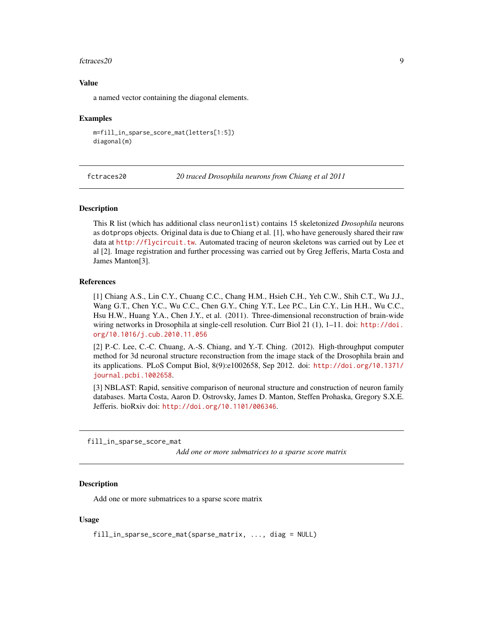#### <span id="page-8-0"></span>fctraces20 9

# Value

a named vector containing the diagonal elements.

#### Examples

```
m=fill_in_sparse_score_mat(letters[1:5])
diagonal(m)
```
fctraces20 *20 traced Drosophila neurons from Chiang et al 2011*

# Description

This R list (which has additional class neuronlist) contains 15 skeletonized *Drosophila* neurons as dotprops objects. Original data is due to Chiang et al. [1], who have generously shared their raw data at <http://flycircuit.tw>. Automated tracing of neuron skeletons was carried out by Lee et al [2]. Image registration and further processing was carried out by Greg Jefferis, Marta Costa and James Manton[3].

# References

[1] Chiang A.S., Lin C.Y., Chuang C.C., Chang H.M., Hsieh C.H., Yeh C.W., Shih C.T., Wu J.J., Wang G.T., Chen Y.C., Wu C.C., Chen G.Y., Ching Y.T., Lee P.C., Lin C.Y., Lin H.H., Wu C.C., Hsu H.W., Huang Y.A., Chen J.Y., et al. (2011). Three-dimensional reconstruction of brain-wide wiring networks in Drosophila at single-cell resolution. Curr Biol 21 (1), 1-11. doi: [http://doi.](http://doi.org/10.1016/j.cub.2010.11.056) [org/10.1016/j.cub.2010.11.056](http://doi.org/10.1016/j.cub.2010.11.056)

[2] P.-C. Lee, C.-C. Chuang, A.-S. Chiang, and Y.-T. Ching. (2012). High-throughput computer method for 3d neuronal structure reconstruction from the image stack of the Drosophila brain and its applications. PLoS Comput Biol, 8(9):e1002658, Sep 2012. doi: [http://doi.org/10.1371/](http://doi.org/10.1371/journal.pcbi.1002658) [journal.pcbi.1002658](http://doi.org/10.1371/journal.pcbi.1002658).

[3] NBLAST: Rapid, sensitive comparison of neuronal structure and construction of neuron family databases. Marta Costa, Aaron D. Ostrovsky, James D. Manton, Steffen Prohaska, Gregory S.X.E. Jefferis. bioRxiv doi: <http://doi.org/10.1101/006346>.

fill\_in\_sparse\_score\_mat

*Add one or more submatrices to a sparse score matrix*

# Description

Add one or more submatrices to a sparse score matrix

### Usage

fill\_in\_sparse\_score\_mat(sparse\_matrix, ..., diag = NULL)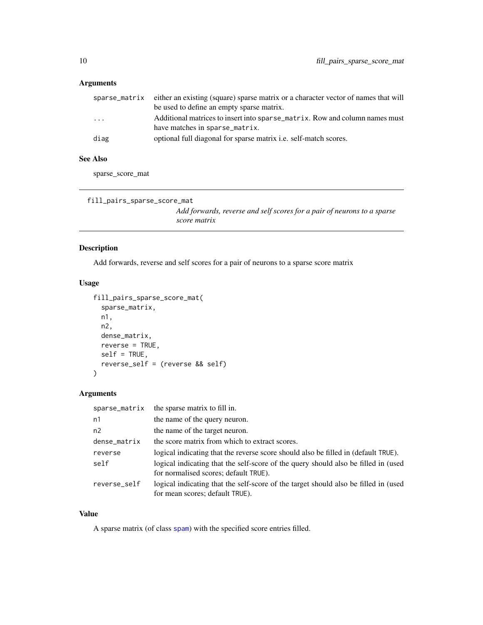# <span id="page-9-0"></span>Arguments

|          | sparse_matrix either an existing (square) sparse matrix or a character vector of names that will<br>be used to define an empty sparse matrix. |
|----------|-----------------------------------------------------------------------------------------------------------------------------------------------|
| $\cdots$ | Additional matrices to insert into sparse_matrix. Row and column names must<br>have matches in sparse_matrix.                                 |
| diag     | optional full diagonal for sparse matrix <i>i.e.</i> self-match scores.                                                                       |

# See Also

sparse\_score\_mat

```
fill_pairs_sparse_score_mat
```
*Add forwards, reverse and self scores for a pair of neurons to a sparse score matrix*

# Description

Add forwards, reverse and self scores for a pair of neurons to a sparse score matrix

# Usage

```
fill_pairs_sparse_score_mat(
  sparse_matrix,
 n1,
 n2,
 dense_matrix,
 reverse = TRUE,
 self = TRUE,reverse_self = (reverse && self)
\mathcal{L}
```
#### Arguments

| sparse_matrix | the sparse matrix to fill in.                                                                                               |
|---------------|-----------------------------------------------------------------------------------------------------------------------------|
| n1            | the name of the query neuron.                                                                                               |
| n2            | the name of the target neuron.                                                                                              |
| dense_matrix  | the score matrix from which to extract scores.                                                                              |
| reverse       | logical indicating that the reverse score should also be filled in (default TRUE).                                          |
| self          | logical indicating that the self-score of the query should also be filled in (used<br>for normalised scores; default TRUE). |
| reverse_self  | logical indicating that the self-score of the target should also be filled in (used<br>for mean scores; default TRUE).      |

# Value

A sparse matrix (of class [spam](#page-0-0)) with the specified score entries filled.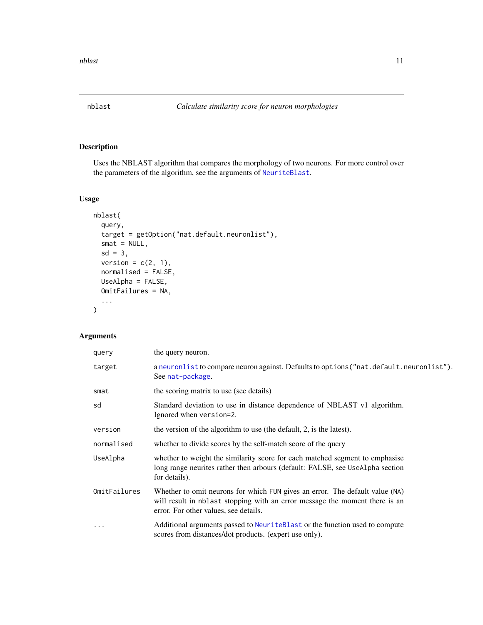<span id="page-10-1"></span><span id="page-10-0"></span>

# Description

Uses the NBLAST algorithm that compares the morphology of two neurons. For more control over the parameters of the algorithm, see the arguments of [NeuriteBlast](#page-14-1).

# Usage

```
nblast(
  query,
  target = getOption("nat.default.neuronlist"),
  smat = NULL,sd = 3,
 version = c(2, 1),
  normalised = FALSE,
 UseAlpha = FALSE,
 OmitFailures = NA,
  ...
)
```

| query        | the query neuron.                                                                                                                                                                                    |
|--------------|------------------------------------------------------------------------------------------------------------------------------------------------------------------------------------------------------|
| target       | a neuronlist to compare neuron against. Defaults to options ("nat.default.neuronlist").<br>See nat-package.                                                                                          |
| smat         | the scoring matrix to use (see details)                                                                                                                                                              |
| sd           | Standard deviation to use in distance dependence of NBLAST v1 algorithm.<br>Ignored when version=2.                                                                                                  |
| version      | the version of the algorithm to use (the default, 2, is the latest).                                                                                                                                 |
| normalised   | whether to divide scores by the self-match score of the query                                                                                                                                        |
| UseAlpha     | whether to weight the similarity score for each matched segment to emphasise<br>long range neurites rather then arbours (default: FALSE, see UseAlpha section<br>for details).                       |
| OmitFailures | Whether to omit neurons for which FUN gives an error. The default value (NA)<br>will result in nblast stopping with an error message the moment there is an<br>error. For other values, see details. |
| $\ddotsc$    | Additional arguments passed to NeuriteBlast or the function used to compute<br>scores from distances/dot products. (expert use only).                                                                |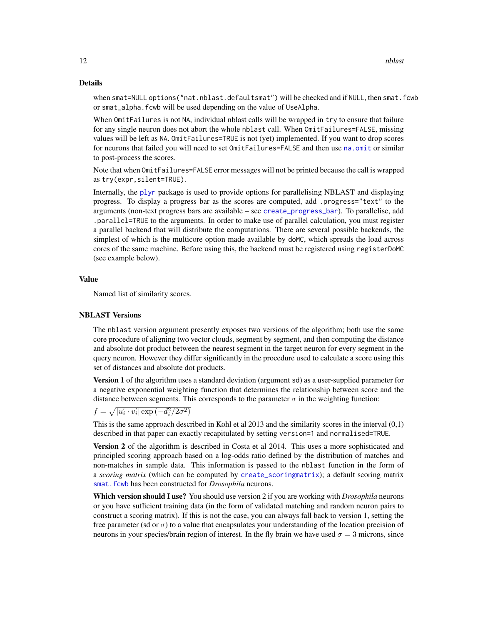#### <span id="page-11-0"></span>Details

when smat=NULL options("nat.nblast.defaultsmat") will be checked and if NULL, then smat.fcwb or smat\_alpha.fcwb will be used depending on the value of UseAlpha.

When OmitFailures is not NA, individual nblast calls will be wrapped in try to ensure that failure for any single neuron does not abort the whole nblast call. When OmitFailures=FALSE, missing values will be left as NA. OmitFailures=TRUE is not (yet) implemented. If you want to drop scores for neurons that failed you will need to set OmitFailures=FALSE and then use [na.omit](#page-0-0) or similar to post-process the scores.

Note that when OmitFailures=FALSE error messages will not be printed because the call is wrapped as try(expr,silent=TRUE).

Internally, the [plyr](#page-0-0) package is used to provide options for parallelising NBLAST and displaying progress. To display a progress bar as the scores are computed, add .progress="text" to the arguments (non-text progress bars are available – see [create\\_progress\\_bar](#page-0-0)). To parallelise, add .parallel=TRUE to the arguments. In order to make use of parallel calculation, you must register a parallel backend that will distribute the computations. There are several possible backends, the simplest of which is the multicore option made available by doMC, which spreads the load across cores of the same machine. Before using this, the backend must be registered using registerDoMC (see example below).

#### Value

Named list of similarity scores.

#### NBLAST Versions

The nblast version argument presently exposes two versions of the algorithm; both use the same core procedure of aligning two vector clouds, segment by segment, and then computing the distance and absolute dot product between the nearest segment in the target neuron for every segment in the query neuron. However they differ significantly in the procedure used to calculate a score using this set of distances and absolute dot products.

Version 1 of the algorithm uses a standard deviation (argument sd) as a user-supplied parameter for a negative exponential weighting function that determines the relationship between score and the distance between segments. This corresponds to the parameter  $\sigma$  in the weighting function:

 $f = \sqrt{| \vec{u_i} \cdot \vec{v_i} | \exp{(-d_i^2/2\sigma^2)}}$ 

This is the same approach described in Kohl et al 2013 and the similarity scores in the interval (0,1) described in that paper can exactly recapitulated by setting version=1 and normalised=TRUE.

Version 2 of the algorithm is described in Costa et al 2014. This uses a more sophisticated and principled scoring approach based on a log-odds ratio defined by the distribution of matches and non-matches in sample data. This information is passed to the nblast function in the form of a *scoring matrix* (which can be computed by [create\\_scoringmatrix](#page-5-1)); a default scoring matrix [smat.fcwb](#page-20-1) has been constructed for *Drosophila* neurons.

Which version should I use? You should use version 2 if you are working with *Drosophila* neurons or you have sufficient training data (in the form of validated matching and random neuron pairs to construct a scoring matrix). If this is not the case, you can always fall back to version 1, setting the free parameter (sd or  $\sigma$ ) to a value that encapsulates your understanding of the location precision of neurons in your species/brain region of interest. In the fly brain we have used  $\sigma = 3$  microns, since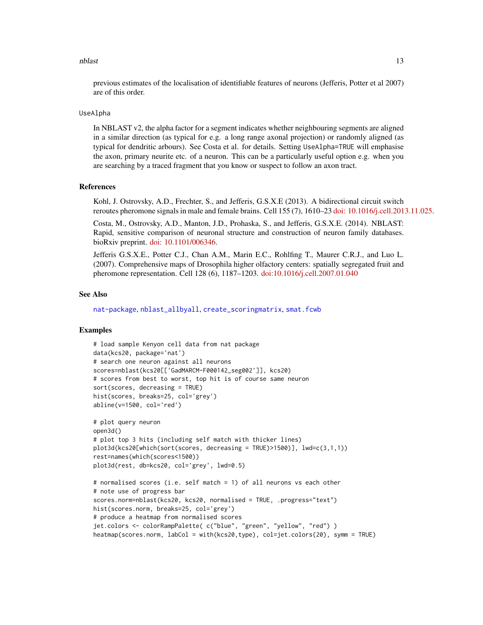#### <span id="page-12-0"></span>nblast 13

previous estimates of the localisation of identifiable features of neurons (Jefferis, Potter et al 2007) are of this order.

# UseAlpha

In NBLAST v2, the alpha factor for a segment indicates whether neighbouring segments are aligned in a similar direction (as typical for e.g. a long range axonal projection) or randomly aligned (as typical for dendritic arbours). See Costa et al. for details. Setting UseAlpha=TRUE will emphasise the axon, primary neurite etc. of a neuron. This can be a particularly useful option e.g. when you are searching by a traced fragment that you know or suspect to follow an axon tract.

#### References

Kohl, J. Ostrovsky, A.D., Frechter, S., and Jefferis, G.S.X.E (2013). A bidirectional circuit switch reroutes pheromone signals in male and female brains. Cell 155 (7), 1610–23 [doi: 10.1016/j.cell.2013.11.025.](http://dx.doi.org/10.1016/j.cell.2013.11.025)

Costa, M., Ostrovsky, A.D., Manton, J.D., Prohaska, S., and Jefferis, G.S.X.E. (2014). NBLAST: Rapid, sensitive comparison of neuronal structure and construction of neuron family databases. bioRxiv preprint. [doi: 10.1101/006346.](http://dx.doi.org/10.1101/006346)

Jefferis G.S.X.E., Potter C.J., Chan A.M., Marin E.C., Rohlfing T., Maurer C.R.J., and Luo L. (2007). Comprehensive maps of Drosophila higher olfactory centers: spatially segregated fruit and pheromone representation. Cell 128 (6), 1187–1203. [doi:10.1016/j.cell.2007.01.040](http://dx.doi.org/10.1016/j.cell.2007.01.040)

#### See Also

[nat-package](#page-0-0), [nblast\\_allbyall](#page-13-1), [create\\_scoringmatrix](#page-5-1), [smat.fcwb](#page-20-1)

# Examples

```
# load sample Kenyon cell data from nat package
data(kcs20, package='nat')
# search one neuron against all neurons
scores=nblast(kcs20[['GadMARCM-F000142_seg002']], kcs20)
# scores from best to worst, top hit is of course same neuron
sort(scores, decreasing = TRUE)
hist(scores, breaks=25, col='grey')
abline(v=1500, col='red')
# plot query neuron
```

```
open3d()
# plot top 3 hits (including self match with thicker lines)
plot3d(kcs20[which(sort(scores, decreasing = TRUE)>1500)], lwd=c(3,1,1))
rest=names(which(scores<1500))
plot3d(rest, db=kcs20, col='grey', lwd=0.5)
```

```
# normalised scores (i.e. self match = 1) of all neurons vs each other
# note use of progress bar
scores.norm=nblast(kcs20, kcs20, normalised = TRUE, .progress="text")
hist(scores.norm, breaks=25, col='grey')
# produce a heatmap from normalised scores
jet.colors <- colorRampPalette( c("blue", "green", "yellow", "red") )
heatmap(scores.norm, labCol = with(kcs20,type), col=jet.colors(20), symm = TRUE)
```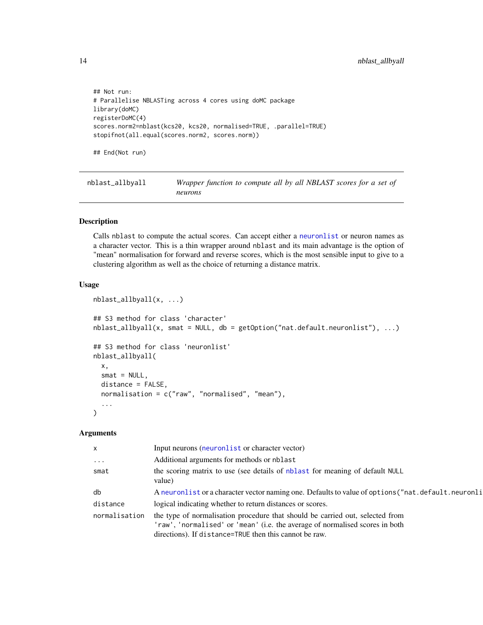```
## Not run:
# Parallelise NBLASTing across 4 cores using doMC package
library(doMC)
registerDoMC(4)
scores.norm2=nblast(kcs20, kcs20, normalised=TRUE, .parallel=TRUE)
stopifnot(all.equal(scores.norm2, scores.norm))
## End(Not run)
```
<span id="page-13-1"></span>nblast\_allbyall *Wrapper function to compute all by all NBLAST scores for a set of neurons*

# Description

Calls nblast to compute the actual scores. Can accept either a [neuronlist](#page-0-0) or neuron names as a character vector. This is a thin wrapper around nblast and its main advantage is the option of "mean" normalisation for forward and reverse scores, which is the most sensible input to give to a clustering algorithm as well as the choice of returning a distance matrix.

#### Usage

```
nblast_allbyall(x, ...)
## S3 method for class 'character'
nblast_allbyall(x, smat = NULL, db = getOption("nat.default.neuronlist"), ...)
## S3 method for class 'neuronlist'
nblast_allbyall(
  x,
  smat = NULL,distance = FALSE,
  normalisation = c("raw", "normalised", "mean"),
  ...
)
```

| $\mathsf{x}$  | Input neurons (neuronlist or character vector)                                                                                                                                                                          |
|---------------|-------------------------------------------------------------------------------------------------------------------------------------------------------------------------------------------------------------------------|
| $\ddots$ .    | Additional arguments for methods or nblast                                                                                                                                                                              |
| smat          | the scoring matrix to use (see details of nblast for meaning of default NULL<br>value)                                                                                                                                  |
| db            | A neuronlist or a character vector naming one. Defaults to value of options ("nat.default.neuronli                                                                                                                      |
| distance      | logical indicating whether to return distances or scores.                                                                                                                                                               |
| normalisation | the type of normalisation procedure that should be carried out, selected from<br>'raw', 'normalised' or 'mean' (i.e. the average of normalised scores in both<br>directions). If distance=TRUE then this cannot be raw. |

<span id="page-13-0"></span>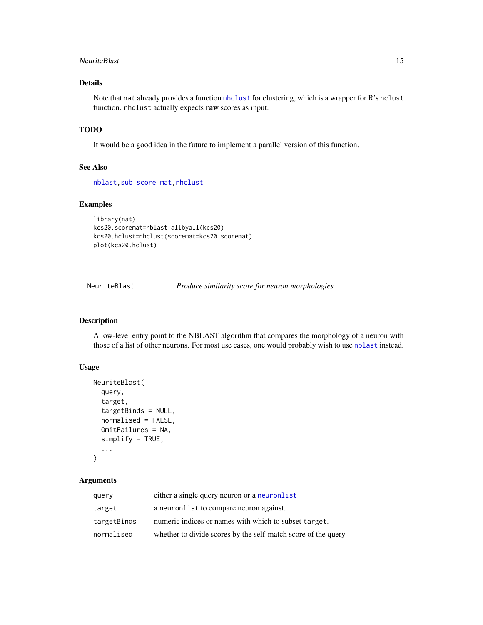#### <span id="page-14-0"></span>NeuriteBlast 15

# Details

Note that nat already provides a function [nhclust](#page-16-1) for clustering, which is a wrapper for R's hclust function. nhclust actually expects raw scores as input.

# TODO

It would be a good idea in the future to implement a parallel version of this function.

# See Also

[nblast](#page-10-1)[,sub\\_score\\_mat,](#page-23-1)[nhclust](#page-16-1)

# Examples

```
library(nat)
kcs20.scoremat=nblast_allbyall(kcs20)
kcs20.hclust=nhclust(scoremat=kcs20.scoremat)
plot(kcs20.hclust)
```
<span id="page-14-1"></span>NeuriteBlast *Produce similarity score for neuron morphologies*

# Description

A low-level entry point to the NBLAST algorithm that compares the morphology of a neuron with those of a list of other neurons. For most use cases, one would probably wish to use [nblast](#page-10-1) instead.

# Usage

```
NeuriteBlast(
  query,
  target,
  targetBinds = NULL,
  normalised = FALSE,
  OmitFailures = NA,
  simplify = TRUE,
  ...
)
```

| query       | either a single query neuron or a neuronlist                  |
|-------------|---------------------------------------------------------------|
| target      | a neuronlist to compare neuron against.                       |
| targetBinds | numeric indices or names with which to subset target.         |
| normalised  | whether to divide scores by the self-match score of the query |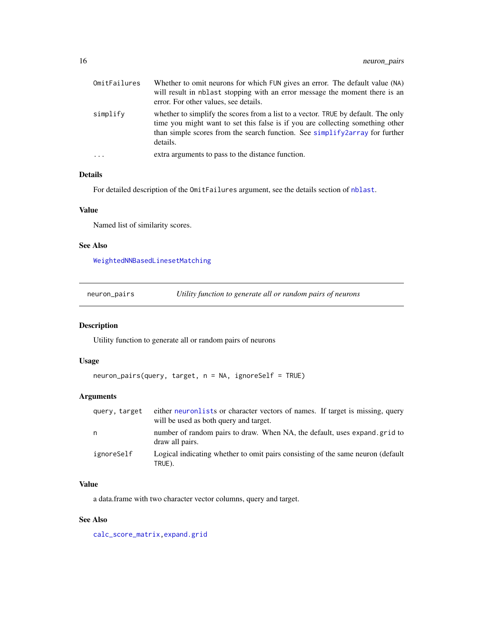<span id="page-15-0"></span>

| OmitFailures | Whether to omit neurons for which FUN gives an error. The default value (NA)<br>will result in nblast stopping with an error message the moment there is an<br>error. For other values, see details.                                                                           |
|--------------|--------------------------------------------------------------------------------------------------------------------------------------------------------------------------------------------------------------------------------------------------------------------------------|
| simplify     | whether to simplify the scores from a list to a vector. TRUE by default. The only<br>time you might want to set this false is if you are collecting something other<br>than simple scores from the search function. See $\frac{\sinh(\gamma)}{\gamma}$ for further<br>details. |
| $\ddots$ .   | extra arguments to pass to the distance function.                                                                                                                                                                                                                              |

# Details

For detailed description of the OmitFailures argument, see the details section of [nblast](#page-10-1).

# Value

Named list of similarity scores.

#### See Also

[WeightedNNBasedLinesetMatching](#page-23-2)

<span id="page-15-1"></span>neuron\_pairs *Utility function to generate all or random pairs of neurons*

# Description

Utility function to generate all or random pairs of neurons

# Usage

```
neuron_pairs(query, target, n = NA, ignoreSelf = TRUE)
```
# Arguments

| query, target | either neuron lists or character vectors of names. If target is missing, query<br>will be used as both query and target. |
|---------------|--------------------------------------------------------------------------------------------------------------------------|
| n             | number of random pairs to draw. When NA, the default, uses expand.grid to<br>draw all pairs.                             |
| ignoreSelf    | Logical indicating whether to omit pairs consisting of the same neuron (default<br>TRUE).                                |

# Value

a data.frame with two character vector columns, query and target.

# See Also

[calc\\_score\\_matrix](#page-4-1)[,expand.grid](#page-0-0)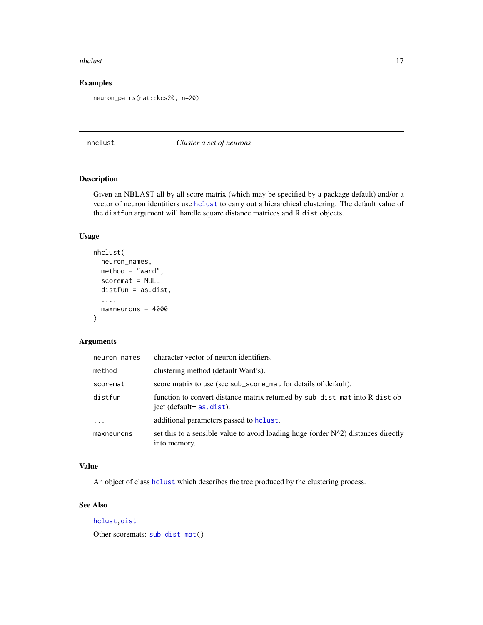#### <span id="page-16-0"></span>nhclust 17

# Examples

neuron\_pairs(nat::kcs20, n=20)

<span id="page-16-1"></span>nhclust *Cluster a set of neurons*

# Description

Given an NBLAST all by all score matrix (which may be specified by a package default) and/or a vector of neuron identifiers use [hclust](#page-0-0) to carry out a hierarchical clustering. The default value of the distfun argument will handle square distance matrices and R dist objects.

# Usage

```
nhclust(
  neuron_names,
 method = "ward",
  scoremat = NULL,distfun = as.dist,
  ...,
 maxneurons = 4000
\lambda
```
# Arguments

| neuron_names | character vector of neuron identifiers.                                                                       |
|--------------|---------------------------------------------------------------------------------------------------------------|
| method       | clustering method (default Ward's).                                                                           |
| scoremat     | score matrix to use (see sub_score_mat for details of default).                                               |
| distfun      | function to convert distance matrix returned by sub_dist_mat into R dist ob-<br>$ject$ (default= $as.dist$ ). |
| $\ddots$ .   | additional parameters passed to holyst.                                                                       |
| maxneurons   | set this to a sensible value to avoid loading huge (order $N^2$ ) distances directly<br>into memory.          |

# Value

An object of class [hclust](#page-0-0) which describes the tree produced by the clustering process.

# See Also

[hclust,dist](#page-0-0) Other scoremats: [sub\\_dist\\_mat\(](#page-22-1))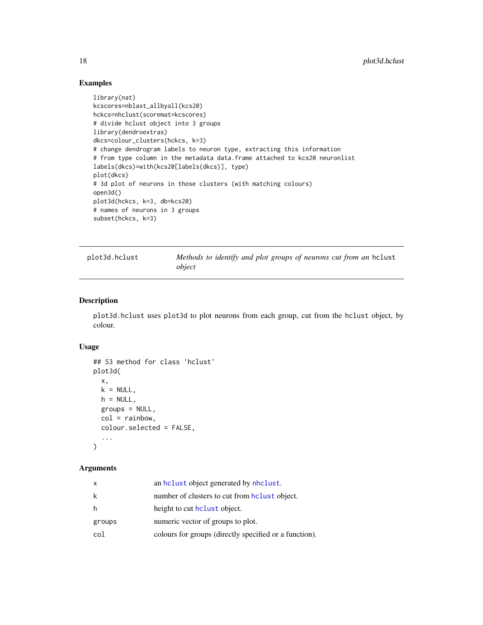# Examples

```
library(nat)
kcscores=nblast_allbyall(kcs20)
hckcs=nhclust(scoremat=kcscores)
# divide hclust object into 3 groups
library(dendroextras)
dkcs=colour_clusters(hckcs, k=3)
# change dendrogram labels to neuron type, extracting this information
# from type column in the metadata data.frame attached to kcs20 neuronlist
labels(dkcs)=with(kcs20[labels(dkcs)], type)
plot(dkcs)
# 3d plot of neurons in those clusters (with matching colours)
open3d()
plot3d(hckcs, k=3, db=kcs20)
# names of neurons in 3 groups
subset(hckcs, k=3)
```
plot3d.hclust *Methods to identify and plot groups of neurons cut from an* hclust *object*

# Description

plot3d.hclust uses plot3d to plot neurons from each group, cut from the hclust object, by colour.

# Usage

```
## S3 method for class 'hclust'
plot3d(
  x,
  k = NULL,h = NULL,groups = NULL,
  col = rainbow,colour.selected = FALSE,
  ...
\mathcal{L}
```

| x      | an holast object generated by nholast.                 |
|--------|--------------------------------------------------------|
| k      | number of clusters to cut from holast object.          |
| h      | height to cut holast object.                           |
| groups | numeric vector of groups to plot.                      |
| col    | colours for groups (directly specified or a function). |

<span id="page-17-0"></span>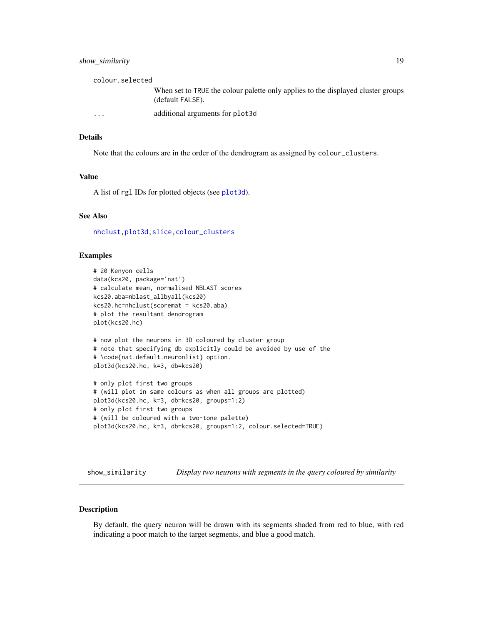# <span id="page-18-0"></span>show\_similarity 19

| colour.selected |                                                                                                      |
|-----------------|------------------------------------------------------------------------------------------------------|
|                 | When set to TRUE the colour palette only applies to the displayed cluster groups<br>(default FALSE). |
| $\cdot$         | additional arguments for plot3d                                                                      |

#### Details

Note that the colours are in the order of the dendrogram as assigned by colour\_clusters.

#### Value

A list of rgl IDs for plotted objects (see [plot3d](#page-0-0)).

#### See Also

[nhclust](#page-16-1)[,plot3d,slice,colour\\_clusters](#page-0-0)

# Examples

```
# 20 Kenyon cells
data(kcs20, package='nat')
# calculate mean, normalised NBLAST scores
kcs20.aba=nblast_allbyall(kcs20)
kcs20.hc=nhclust(scoremat = kcs20.aba)
# plot the resultant dendrogram
plot(kcs20.hc)
# now plot the neurons in 3D coloured by cluster group
# note that specifying db explicitly could be avoided by use of the
# \code{nat.default.neuronlist} option.
plot3d(kcs20.hc, k=3, db=kcs20)
# only plot first two groups
# (will plot in same colours as when all groups are plotted)
plot3d(kcs20.hc, k=3, db=kcs20, groups=1:2)
# only plot first two groups
# (will be coloured with a two-tone palette)
plot3d(kcs20.hc, k=3, db=kcs20, groups=1:2, colour.selected=TRUE)
```

```
show_similarity Display two neurons with segments in the query coloured by similarity
```
#### Description

By default, the query neuron will be drawn with its segments shaded from red to blue, with red indicating a poor match to the target segments, and blue a good match.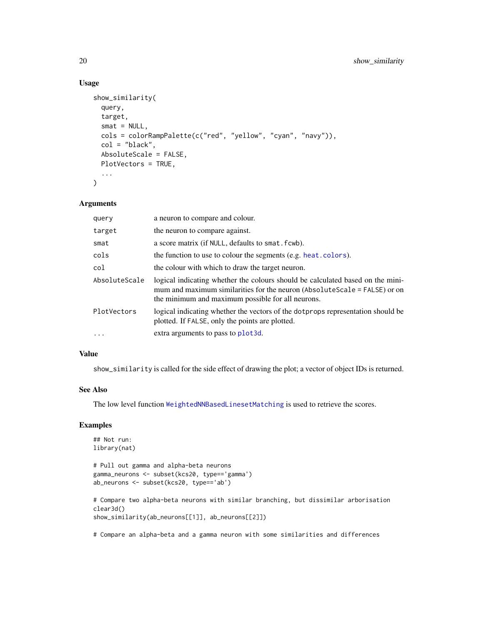# Usage

```
show_similarity(
 query,
  target,
 smat = NULL,cols = colorRampPalette(c("red", "yellow", "cyan", "navy")),
 col = "black",AbsoluteScale = FALSE,
 PlotVectors = TRUE,
  ...
)
```
#### Arguments

| query         | a neuron to compare and colour.                                                                                                                                                                                  |
|---------------|------------------------------------------------------------------------------------------------------------------------------------------------------------------------------------------------------------------|
| target        | the neuron to compare against.                                                                                                                                                                                   |
| smat          | a score matrix (if NULL, defaults to smat. fcwb).                                                                                                                                                                |
| cols          | the function to use to colour the segments (e.g. heat.colors).                                                                                                                                                   |
| col           | the colour with which to draw the target neuron.                                                                                                                                                                 |
| AbsoluteScale | logical indicating whether the colours should be calculated based on the mini-<br>mum and maximum similarities for the neuron (AbsoluteScale = FALSE) or on<br>the minimum and maximum possible for all neurons. |
| PlotVectors   | logical indicating whether the vectors of the dot props representation should be<br>plotted. If FALSE, only the points are plotted.                                                                              |
|               | extra arguments to pass to plot 3d.                                                                                                                                                                              |

# Value

show\_similarity is called for the side effect of drawing the plot; a vector of object IDs is returned.

# See Also

The low level function [WeightedNNBasedLinesetMatching](#page-23-2) is used to retrieve the scores.

# Examples

```
## Not run:
library(nat)
# Pull out gamma and alpha-beta neurons
gamma_neurons <- subset(kcs20, type=='gamma')
ab_neurons <- subset(kcs20, type=='ab')
```
# Compare two alpha-beta neurons with similar branching, but dissimilar arborisation clear3d() show\_similarity(ab\_neurons[[1]], ab\_neurons[[2]])

# Compare an alpha-beta and a gamma neuron with some similarities and differences

<span id="page-19-0"></span>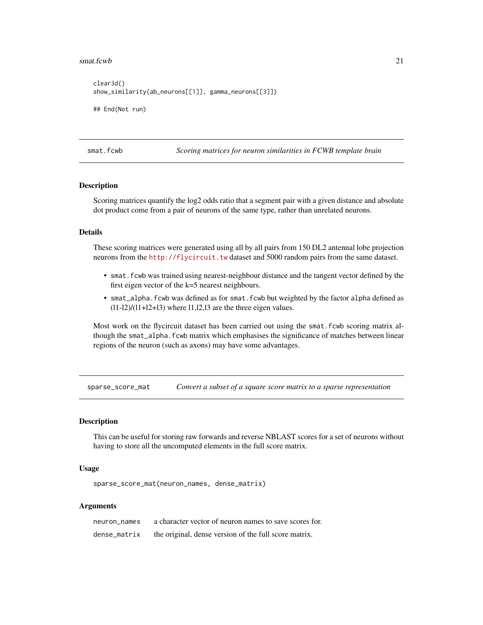#### <span id="page-20-0"></span> $smat.fcwb$  21

```
clear3d()
show_similarity(ab_neurons[[1]], gamma_neurons[[3]])
## End(Not run)
```
<span id="page-20-1"></span>smat.fcwb *Scoring matrices for neuron similarities in FCWB template brain*

#### Description

Scoring matrices quantify the log2 odds ratio that a segment pair with a given distance and absolute dot product come from a pair of neurons of the same type, rather than unrelated neurons.

## Details

These scoring matrices were generated using all by all pairs from 150 DL2 antennal lobe projection neurons from the <http://flycircuit.tw> dataset and 5000 random pairs from the same dataset.

- smat.fcwb was trained using nearest-neighbour distance and the tangent vector defined by the first eigen vector of the k=5 nearest neighbours.
- smat\_alpha.fcwb was defined as for smat.fcwb but weighted by the factor alpha defined as  $(11-12)/(11+12+13)$  where 11,12,13 are the three eigen values.

Most work on the flycircuit dataset has been carried out using the smat. fcwb scoring matrix although the smat\_alpha.fcwb matrix which emphasises the significance of matches between linear regions of the neuron (such as axons) may have some advantages.

sparse\_score\_mat *Convert a subset of a square score matrix to a sparse representation*

# Description

This can be useful for storing raw forwards and reverse NBLAST scores for a set of neurons without having to store all the uncomputed elements in the full score matrix.

#### Usage

sparse\_score\_mat(neuron\_names, dense\_matrix)

| neuron names | a character vector of neuron names to save scores for. |
|--------------|--------------------------------------------------------|
| dense matrix | the original, dense version of the full score matrix.  |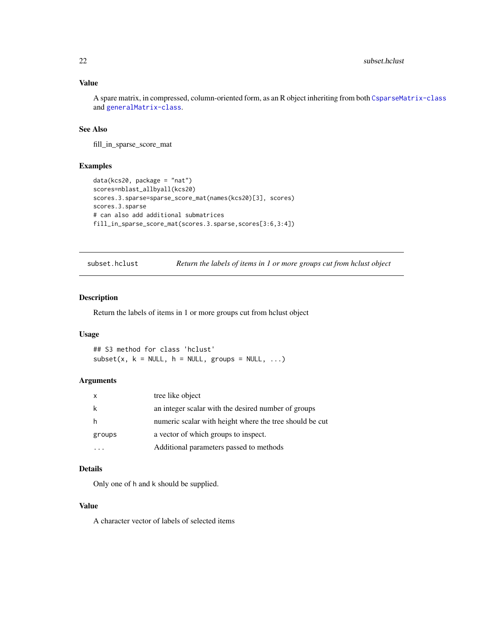# <span id="page-21-0"></span>Value

A spare matrix, in compressed, column-oriented form, as an R object inheriting from both [CsparseMatrix-class](#page-0-0) and [generalMatrix-class](#page-0-0).

# See Also

fill\_in\_sparse\_score\_mat

#### Examples

```
data(kcs20, package = "nat")
scores=nblast_allbyall(kcs20)
scores.3.sparse=sparse_score_mat(names(kcs20)[3], scores)
scores.3.sparse
# can also add additional submatrices
fill_in_sparse_score_mat(scores.3.sparse,scores[3:6,3:4])
```
subset.hclust *Return the labels of items in 1 or more groups cut from hclust object*

# Description

Return the labels of items in 1 or more groups cut from hclust object

# Usage

## S3 method for class 'hclust'  $subset(x, k = NULL, h = NULL, groups = NULL, ...)$ 

#### Arguments

|        | tree like object                                        |
|--------|---------------------------------------------------------|
|        | an integer scalar with the desired number of groups     |
|        | numeric scalar with height where the tree should be cut |
| groups | a vector of which groups to inspect.                    |
|        | Additional parameters passed to methods                 |

# Details

Only one of h and k should be supplied.

#### Value

A character vector of labels of selected items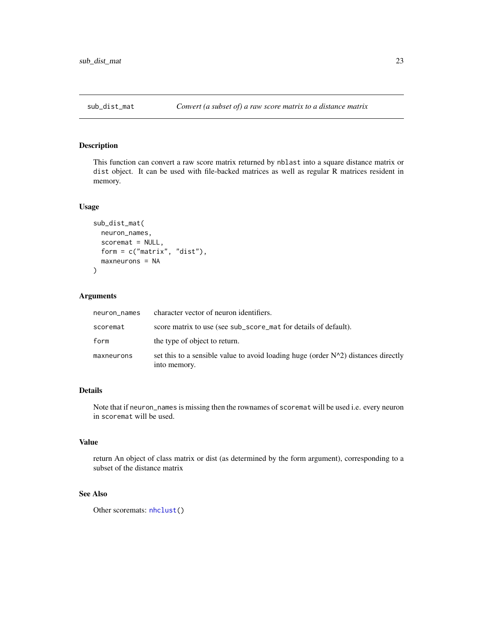<span id="page-22-1"></span><span id="page-22-0"></span>

# Description

This function can convert a raw score matrix returned by nblast into a square distance matrix or dist object. It can be used with file-backed matrices as well as regular R matrices resident in memory.

#### Usage

```
sub_dist_mat(
  neuron_names,
  scoremat = NULL,
  form = c("matrix", "dist"),
  maxneurons = NA
)
```
# Arguments

| neuron_names | character vector of neuron identifiers.                                                              |
|--------------|------------------------------------------------------------------------------------------------------|
| scoremat     | score matrix to use (see sub_score_mat for details of default).                                      |
| form         | the type of object to return.                                                                        |
| maxneurons   | set this to a sensible value to avoid loading huge (order $N^2$ ) distances directly<br>into memory. |

# Details

Note that if neuron\_names is missing then the rownames of scoremat will be used i.e. every neuron in scoremat will be used.

# Value

return An object of class matrix or dist (as determined by the form argument), corresponding to a subset of the distance matrix

# See Also

Other scoremats: [nhclust\(](#page-16-1))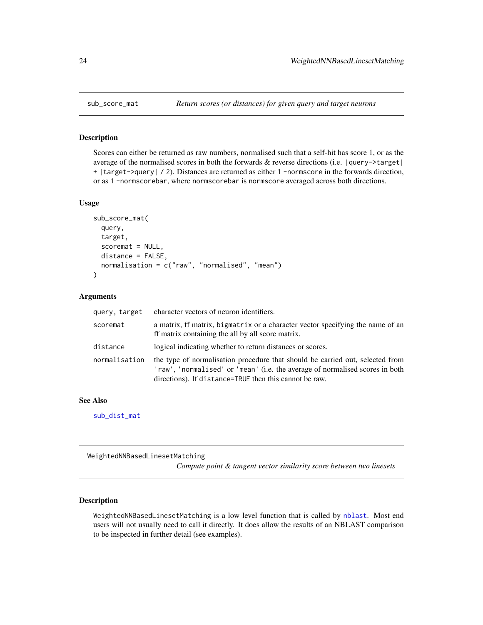<span id="page-23-1"></span><span id="page-23-0"></span>

## Description

Scores can either be returned as raw numbers, normalised such that a self-hit has score 1, or as the average of the normalised scores in both the forwards & reverse directions (i.e. |query->target| + |target->query| / 2). Distances are returned as either 1 -normscore in the forwards direction, or as 1 -normscorebar, where normscorebar is normscore averaged across both directions.

#### Usage

```
sub_score_mat(
  query,
  target,
  scoremat = NULL,
  distance = FALSE,
  normalisation = c("raw", "normalised", "mean")
)
```
# Arguments

| query, target | character vectors of neuron identifiers.                                                                                                                                                                                |
|---------------|-------------------------------------------------------------------------------------------------------------------------------------------------------------------------------------------------------------------------|
| scoremat      | a matrix, if matrix, bigmatrix or a character vector specifying the name of an<br>ff matrix containing the all by all score matrix.                                                                                     |
| distance      | logical indicating whether to return distances or scores.                                                                                                                                                               |
| normalisation | the type of normalisation procedure that should be carried out, selected from<br>'raw', 'normalised' or 'mean' (i.e. the average of normalised scores in both<br>directions). If distance=TRUE then this cannot be raw. |

# See Also

[sub\\_dist\\_mat](#page-22-1)

<span id="page-23-2"></span>WeightedNNBasedLinesetMatching

*Compute point & tangent vector similarity score between two linesets*

# Description

WeightedNNBasedLinesetMatching is a low level function that is called by [nblast](#page-10-1). Most end users will not usually need to call it directly. It does allow the results of an NBLAST comparison to be inspected in further detail (see examples).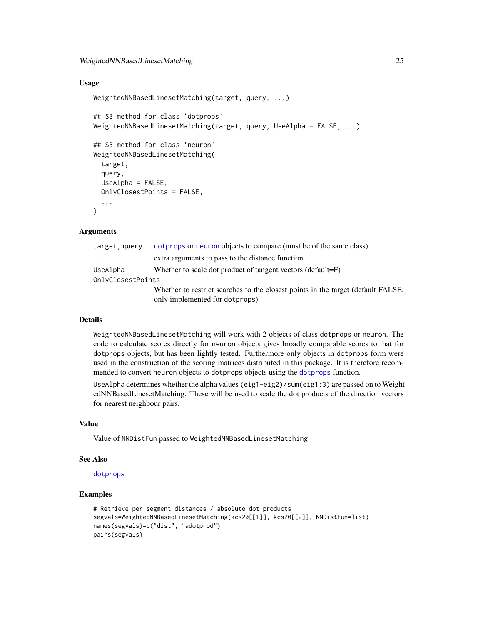# <span id="page-24-0"></span>WeightedNNBasedLinesetMatching 25

# Usage

```
WeightedNNBasedLinesetMatching(target, query, ...)
## S3 method for class 'dotprops'
WeightedNNBasedLinesetMatching(target, query, UseAlpha = FALSE, ...)
## S3 method for class 'neuron'
WeightedNNBasedLinesetMatching(
  target,
  query,
 UseAlpha = FALSE,
 OnlyClosestPoints = FALSE,
  ...
)
```
# Arguments

| target, query     | dotprops or neuron objects to compare (must be of the same class)                |  |
|-------------------|----------------------------------------------------------------------------------|--|
| .                 | extra arguments to pass to the distance function.                                |  |
| UseAlpha          | Whether to scale dot product of tangent vectors (default=F)                      |  |
| OnlyClosestPoints |                                                                                  |  |
|                   | Whether to restrict searches to the closest points in the target (default FALSE, |  |
|                   | only implemented for dotprops).                                                  |  |

#### Details

WeightedNNBasedLinesetMatching will work with 2 objects of class dotprops or neuron. The code to calculate scores directly for neuron objects gives broadly comparable scores to that for dotprops objects, but has been lightly tested. Furthermore only objects in dotprops form were used in the construction of the scoring matrices distributed in this package. It is therefore recommended to convert neuron objects to dotprops objects using the [dotprops](#page-0-0) function.

UseAlpha determines whether the alpha values (eig1-eig2)/sum(eig1:3) are passed on to WeightedNNBasedLinesetMatching. These will be used to scale the dot products of the direction vectors for nearest neighbour pairs.

# Value

Value of NNDistFun passed to WeightedNNBasedLinesetMatching

#### See Also

[dotprops](#page-0-0)

# Examples

```
# Retrieve per segment distances / absolute dot products
segvals=WeightedNNBasedLinesetMatching(kcs20[[1]], kcs20[[2]], NNDistFun=list)
names(segvals)=c("dist", "adotprod")
pairs(segvals)
```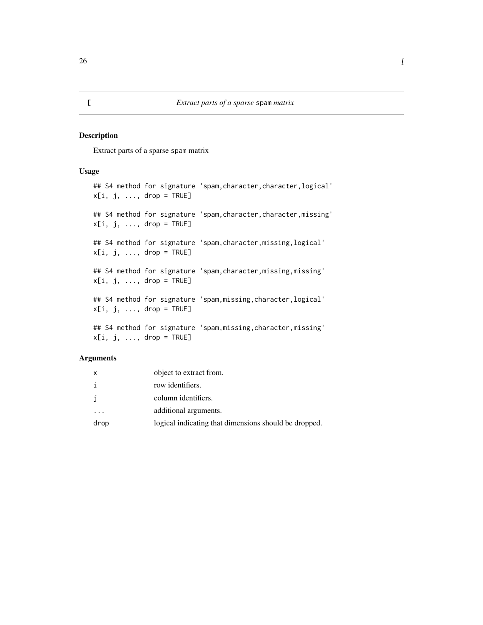# <span id="page-25-0"></span>Description

Extract parts of a sparse spam matrix

# Usage

## S4 method for signature 'spam, character, character, logical'  $x[i, j, ..., drop = TRUE]$ ## S4 method for signature 'spam,character,character,missing'  $x[i, j, ..., drop = TRUE]$ ## S4 method for signature 'spam, character, missing, logical'  $x[i, j, \ldots, drop = TRUE]$ ## S4 method for signature 'spam, character, missing, missing'  $x[i, j, ..., drop = TRUE]$ ## S4 method for signature 'spam,missing,character,logical'  $x[i, j, ..., drop = TRUE]$ ## S4 method for signature 'spam, missing, character, missing'  $x[i, j, ..., drop = TRUE]$ 

| X    | object to extract from.                               |
|------|-------------------------------------------------------|
|      | row identifiers.                                      |
|      | column identifiers.                                   |
| .    | additional arguments.                                 |
| drop | logical indicating that dimensions should be dropped. |